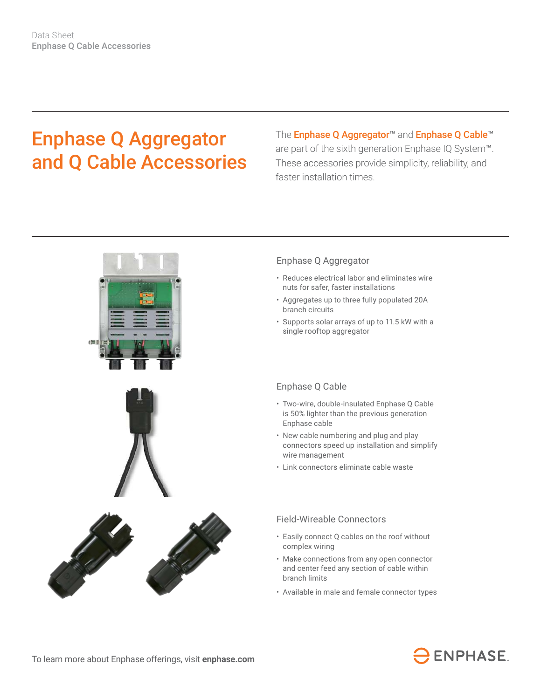# Enphase Q Aggregator and Q Cable Accessories

The Enphase Q Aggregator<sup>™</sup> and Enphase Q Cable<sup>™</sup> are part of the sixth generation Enphase IQ System™. These accessories provide simplicity, reliability, and faster installation times.



#### Enphase Q Aggregator

- Reduces electrical labor and eliminates wire nuts for safer, faster installations
- Aggregates up to three fully populated 20A branch circuits
- Supports solar arrays of up to 11.5 kW with a single rooftop aggregator

#### Enphase Q Cable

- Two-wire, double-insulated Enphase Q Cable is 50% lighter than the previous generation Enphase cable
- New cable numbering and plug and play connectors speed up installation and simplify wire management
- Link connectors eliminate cable waste

#### Field-Wireable Connectors

- Easily connect Q cables on the roof without complex wiring
- Make connections from any open connector and center feed any section of cable within branch limits
- Available in male and female connector types